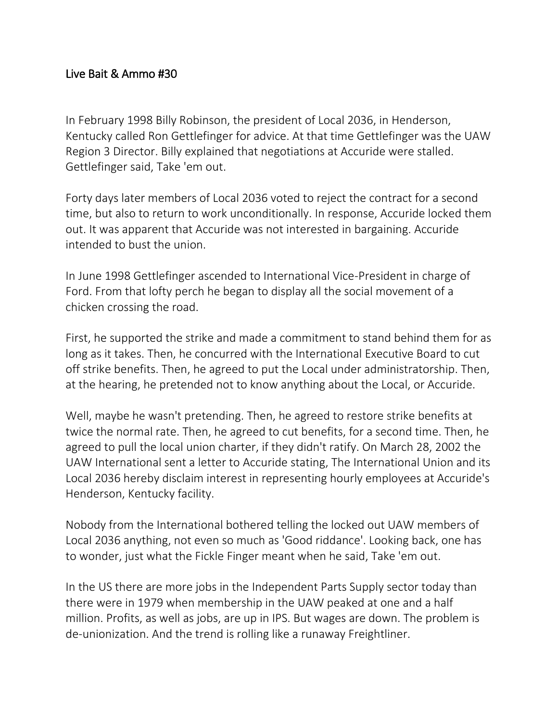## Live Bait & Ammo #30

In February 1998 Billy Robinson, the president of Local 2036, in Henderson, Kentucky called Ron Gettlefinger for advice. At that time Gettlefinger was the UAW Region 3 Director. Billy explained that negotiations at Accuride were stalled. Gettlefinger said, Take 'em out.

Forty days later members of Local 2036 voted to reject the contract for a second time, but also to return to work unconditionally. In response, Accuride locked them out. It was apparent that Accuride was not interested in bargaining. Accuride intended to bust the union.

In June 1998 Gettlefinger ascended to International Vice-President in charge of Ford. From that lofty perch he began to display all the social movement of a chicken crossing the road.

First, he supported the strike and made a commitment to stand behind them for as long as it takes. Then, he concurred with the International Executive Board to cut off strike benefits. Then, he agreed to put the Local under administratorship. Then, at the hearing, he pretended not to know anything about the Local, or Accuride.

Well, maybe he wasn't pretending. Then, he agreed to restore strike benefits at twice the normal rate. Then, he agreed to cut benefits, for a second time. Then, he agreed to pull the local union charter, if they didn't ratify. On March 28, 2002 the UAW International sent a letter to Accuride stating, The International Union and its Local 2036 hereby disclaim interest in representing hourly employees at Accuride's Henderson, Kentucky facility.

Nobody from the International bothered telling the locked out UAW members of Local 2036 anything, not even so much as 'Good riddance'. Looking back, one has to wonder, just what the Fickle Finger meant when he said, Take 'em out.

In the US there are more jobs in the Independent Parts Supply sector today than there were in 1979 when membership in the UAW peaked at one and a half million. Profits, as well as jobs, are up in IPS. But wages are down. The problem is de-unionization. And the trend is rolling like a runaway Freightliner.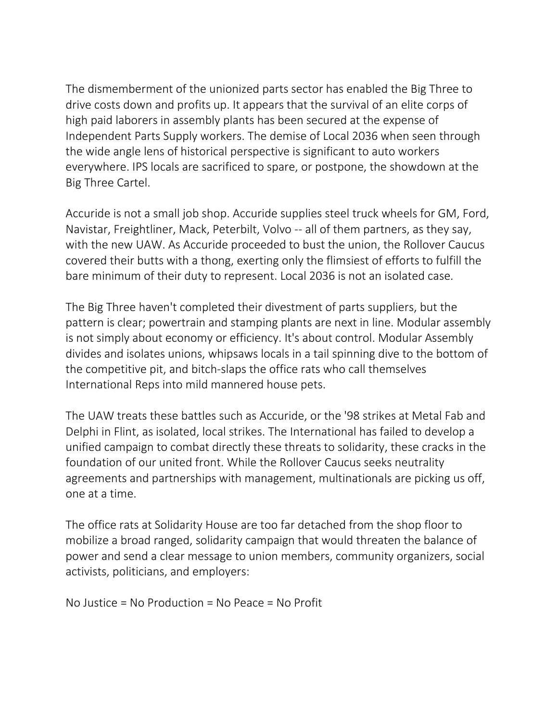The dismemberment of the unionized parts sector has enabled the Big Three to drive costs down and profits up. It appears that the survival of an elite corps of high paid laborers in assembly plants has been secured at the expense of Independent Parts Supply workers. The demise of Local 2036 when seen through the wide angle lens of historical perspective is significant to auto workers everywhere. IPS locals are sacrificed to spare, or postpone, the showdown at the Big Three Cartel.

Accuride is not a small job shop. Accuride supplies steel truck wheels for GM, Ford, Navistar, Freightliner, Mack, Peterbilt, Volvo -- all of them partners, as they say, with the new UAW. As Accuride proceeded to bust the union, the Rollover Caucus covered their butts with a thong, exerting only the flimsiest of efforts to fulfill the bare minimum of their duty to represent. Local 2036 is not an isolated case.

The Big Three haven't completed their divestment of parts suppliers, but the pattern is clear; powertrain and stamping plants are next in line. Modular assembly is not simply about economy or efficiency. It's about control. Modular Assembly divides and isolates unions, whipsaws locals in a tail spinning dive to the bottom of the competitive pit, and bitch-slaps the office rats who call themselves International Reps into mild mannered house pets.

The UAW treats these battles such as Accuride, or the '98 strikes at Metal Fab and Delphi in Flint, as isolated, local strikes. The International has failed to develop a unified campaign to combat directly these threats to solidarity, these cracks in the foundation of our united front. While the Rollover Caucus seeks neutrality agreements and partnerships with management, multinationals are picking us off, one at a time.

The office rats at Solidarity House are too far detached from the shop floor to mobilize a broad ranged, solidarity campaign that would threaten the balance of power and send a clear message to union members, community organizers, social activists, politicians, and employers:

No Justice = No Production = No Peace = No Profit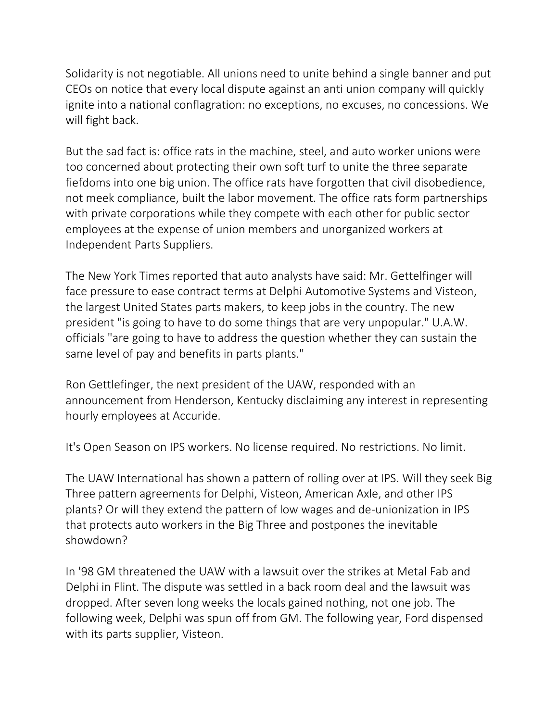Solidarity is not negotiable. All unions need to unite behind a single banner and put CEOs on notice that every local dispute against an anti union company will quickly ignite into a national conflagration: no exceptions, no excuses, no concessions. We will fight back.

But the sad fact is: office rats in the machine, steel, and auto worker unions were too concerned about protecting their own soft turf to unite the three separate fiefdoms into one big union. The office rats have forgotten that civil disobedience, not meek compliance, built the labor movement. The office rats form partnerships with private corporations while they compete with each other for public sector employees at the expense of union members and unorganized workers at Independent Parts Suppliers.

The New York Times reported that auto analysts have said: Mr. Gettelfinger will face pressure to ease contract terms at Delphi Automotive Systems and Visteon, the largest United States parts makers, to keep jobs in the country. The new president "is going to have to do some things that are very unpopular." U.A.W. officials "are going to have to address the question whether they can sustain the same level of pay and benefits in parts plants."

Ron Gettlefinger, the next president of the UAW, responded with an announcement from Henderson, Kentucky disclaiming any interest in representing hourly employees at Accuride.

It's Open Season on IPS workers. No license required. No restrictions. No limit.

The UAW International has shown a pattern of rolling over at IPS. Will they seek Big Three pattern agreements for Delphi, Visteon, American Axle, and other IPS plants? Or will they extend the pattern of low wages and de-unionization in IPS that protects auto workers in the Big Three and postpones the inevitable showdown?

In '98 GM threatened the UAW with a lawsuit over the strikes at Metal Fab and Delphi in Flint. The dispute was settled in a back room deal and the lawsuit was dropped. After seven long weeks the locals gained nothing, not one job. The following week, Delphi was spun off from GM. The following year, Ford dispensed with its parts supplier, Visteon.